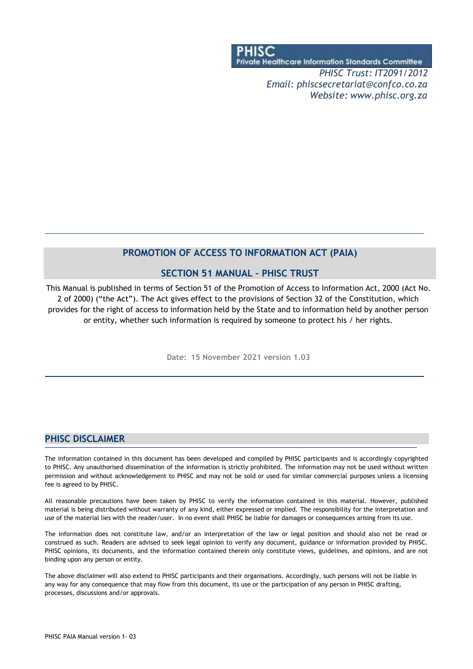Private Healthcare Information Standards Committee

*PHISC Trust: IT2091/2012 Email: [phiscsecretariat@confco.co.za](mailto:phiscsecretariat@confco.co.za) Website: [www.phisc.org.za](http://www.phisc.org.za/)*

## **PROMOTION OF ACCESS TO INFORMATION ACT (PAIA)**

## **SECTION 51 MANUAL – PHISC TRUST**

This Manual is published in terms of Section 51 of the Promotion of Access to Information Act, 2000 (Act No. 2 of 2000) ("the Act"). The Act gives effect to the provisions of Section 32 of the Constitution, which provides for the right of access to information held by the State and to information held by another person or entity, whether such information is required by someone to protect his / her rights.

**Date: 15 November 2021 version 1.03**

## **PHISC DISCLAIMER**

The information contained in this document has been developed and compiled by PHISC participants and is accordingly copyrighted to PHISC. Any unauthorised dissemination of the information is strictly prohibited. The information may not be used without written permission and without acknowledgement to PHISC and may not be sold or used for similar commercial purposes unless a licensing fee is agreed to by PHISC.

All reasonable precautions have been taken by PHISC to verify the information contained in this material. However, published material is being distributed without warranty of any kind, either expressed or implied. The responsibility for the interpretation and use of the material lies with the reader/user. In no event shall PHISC be liable for damages or consequences arising from its use.

The information does not constitute law, and/or an interpretation of the law or legal position and should also not be read or construed as such. Readers are advised to seek legal opinion to verify any document, guidance or information provided by PHISC. PHISC opinions, its documents, and the information contained therein only constitute views, guidelines, and opinions, and are not binding upon any person or entity.

The above disclaimer will also extend to PHISC participants and their organisations. Accordingly, such persons will not be liable in any way for any consequence that may flow from this document, its use or the participation of any person in PHISC drafting, processes, discussions and/or approvals.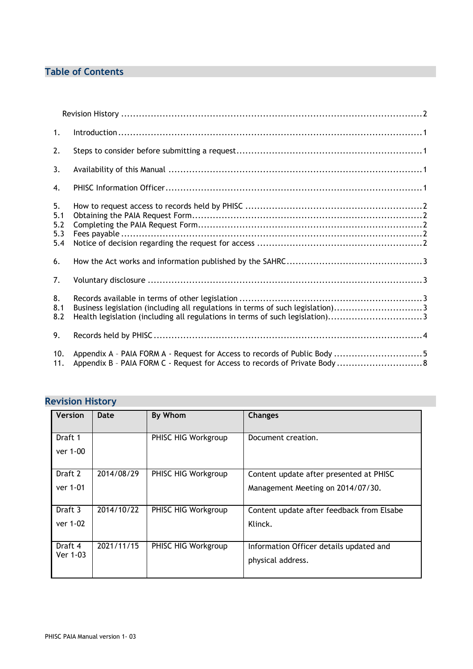# **Table of Contents**

| 1 <sub>1</sub>                 |                                                                                                                                                                |  |
|--------------------------------|----------------------------------------------------------------------------------------------------------------------------------------------------------------|--|
| 2.                             |                                                                                                                                                                |  |
| 3.                             |                                                                                                                                                                |  |
| 4.                             |                                                                                                                                                                |  |
| 5.<br>5.1<br>5.2<br>5.3<br>5.4 |                                                                                                                                                                |  |
| 6.                             |                                                                                                                                                                |  |
| 7.                             |                                                                                                                                                                |  |
| 8.<br>8.1<br>8.2               | Business legislation (including all regulations in terms of such legislation)3<br>Health legislation (including all regulations in terms of such legislation)3 |  |
| 9.                             |                                                                                                                                                                |  |
| 10.<br>11.                     | Appendix A - PAIA FORM A - Request for Access to records of Public Body 5<br>Appendix B - PAIA FORM C - Request for Access to records of Private Body  8       |  |

# <span id="page-1-0"></span>**Revision History**

| <b>Version</b> | Date       | By Whom             | <b>Changes</b>                            |
|----------------|------------|---------------------|-------------------------------------------|
| Draft 1        |            | PHISC HIG Workgroup | Document creation.                        |
| ver 1-00       |            |                     |                                           |
| Draft 2        | 2014/08/29 | PHISC HIG Workgroup | Content update after presented at PHISC   |
| ver 1-01       |            |                     | Management Meeting on 2014/07/30.         |
| Draft 3        | 2014/10/22 | PHISC HIG Workgroup | Content update after feedback from Elsabe |
| ver 1-02       |            |                     | Klinck.                                   |
| Draft 4        | 2021/11/15 | PHISC HIG Workgroup | Information Officer details updated and   |
| Ver 1-03       |            |                     | physical address.                         |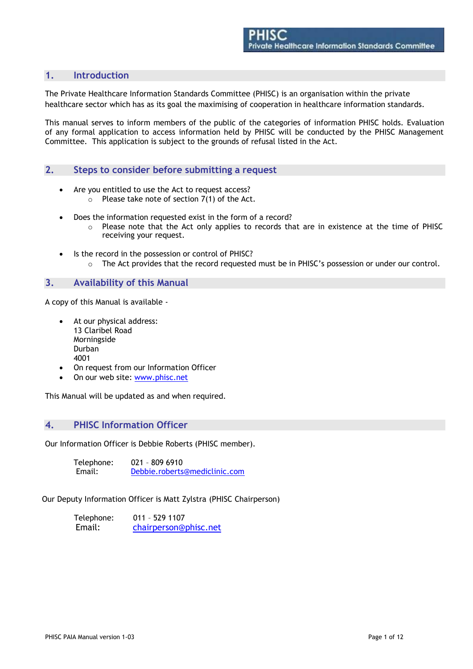## **1. Introduction**

The Private Healthcare Information Standards Committee (PHISC) is an organisation within the private healthcare sector which has as its goal the maximising of cooperation in healthcare information standards.

This manual serves to inform members of the public of the categories of information PHISC holds. Evaluation of any formal application to access information held by PHISC will be conducted by the PHISC Management Committee. This application is subject to the grounds of refusal listed in the Act.

### **2. Steps to consider before submitting a request**

- Are you entitled to use the Act to request access?
	- $\circ$  Please take note of section 7(1) of the Act.
- Does the information requested exist in the form of a record?
	- o Please note that the Act only applies to records that are in existence at the time of PHISC receiving your request.
- Is the record in the possession or control of PHISC? o The Act provides that the record requested must be in PHISC's possession or under our control.

### **3. Availability of this Manual**

A copy of this Manual is available -

- At our physical address: 13 Claribel Road Morningside Durban 4001
- On request from our Information Officer
- On our web site: [www.phisc.net](http://www.phisc.net/)

This Manual will be updated as and when required.

### **4. PHISC Information Officer**

Our Information Officer is Debbie Roberts (PHISC member).

| Telephone: | 021 - 809 6910                |
|------------|-------------------------------|
| Email:     | Debbie.roberts@mediclinic.com |

Our Deputy Information Officer is Matt Zylstra (PHISC Chairperson)

| Telephone: | $011 - 5291107$       |
|------------|-----------------------|
| Email:     | chairperson@phisc.net |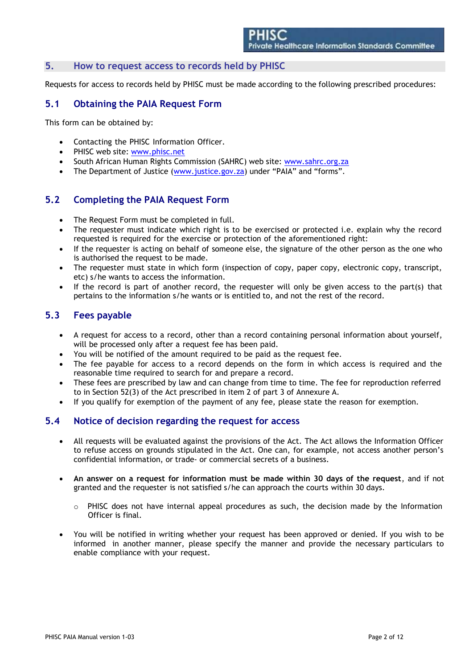### **5. How to request access to records held by PHISC**

Requests for access to records held by PHISC must be made according to the following prescribed procedures:

## <span id="page-3-0"></span>**5.1 Obtaining the PAIA Request Form**

This form can be obtained by:

- Contacting the PHISC Information Officer.
- PHISC web site: [www.phisc.net](http://www.phisc.net/)
- South African Human Rights Commission (SAHRC) web site: [www.sahrc.org.za](http://www.sahrc.org.za/)
- The Department of Justice (www.justice.gov.za) under "PAIA" and "forms".

## <span id="page-3-1"></span>**5.2 Completing the PAIA Request Form**

- The Request Form must be completed in full.
- The requester must indicate which right is to be exercised or protected i.e. explain why the record requested is required for the exercise or protection of the aforementioned right:
- If the requester is acting on behalf of someone else, the signature of the other person as the one who is authorised the request to be made.
- The requester must state in which form (inspection of copy, paper copy, electronic copy, transcript, etc) s/he wants to access the information.
- If the record is part of another record, the requester will only be given access to the part(s) that pertains to the information s/he wants or is entitled to, and not the rest of the record.

## <span id="page-3-2"></span>**5.3 Fees payable**

- A request for access to a record, other than a record containing personal information about yourself, will be processed only after a request fee has been paid.
- You will be notified of the amount required to be paid as the request fee.
- The fee payable for access to a record depends on the form in which access is required and the reasonable time required to search for and prepare a record.
- These fees are prescribed by law and can change from time to time. The fee for reproduction referred to in Section 52(3) of the Act prescribed in item 2 of part 3 of Annexure A.
- If you qualify for exemption of the payment of any fee, please state the reason for exemption.

## <span id="page-3-3"></span>**5.4 Notice of decision regarding the request for access**

- All requests will be evaluated against the provisions of the Act. The Act allows the Information Officer to refuse access on grounds stipulated in the Act. One can, for example, not access another person's confidential information, or trade- or commercial secrets of a business.
- **An answer on a request for information must be made within 30 days of the request**, and if not granted and the requester is not satisfied s/he can approach the courts within 30 days.
	- $\circ$  PHISC does not have internal appeal procedures as such, the decision made by the Information Officer is final.
- You will be notified in writing whether your request has been approved or denied. If you wish to be informed in another manner, please specify the manner and provide the necessary particulars to enable compliance with your request.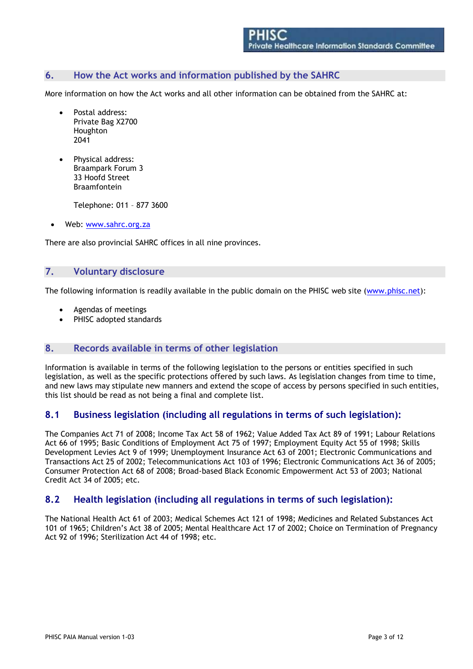## **6. How the Act works and information published by the SAHRC**

More information on how the Act works and all other information can be obtained from the SAHRC at:

- Postal address: Private Bag X2700 Houghton 2041
- Physical address: Braampark Forum 3 33 Hoofd Street Braamfontein

Telephone: 011 – 877 3600

Web: [www.sahrc.org.za](http://www.sahrc.org.za/)

There are also provincial SAHRC offices in all nine provinces.

### **7. Voluntary disclosure**

The following information is readily available in the public domain on the PHISC web site (www.phisc.net):

- Agendas of meetings
- PHISC adopted standards

### **8. Records available in terms of other legislation**

Information is available in terms of the following legislation to the persons or entities specified in such legislation, as well as the specific protections offered by such laws. As legislation changes from time to time, and new laws may stipulate new manners and extend the scope of access by persons specified in such entities, this list should be read as not being a final and complete list.

## <span id="page-4-0"></span>**8.1 Business legislation (including all regulations in terms of such legislation):**

The Companies Act 71 of 2008; Income Tax Act 58 of 1962; Value Added Tax Act 89 of 1991; Labour Relations Act 66 of 1995; Basic Conditions of Employment Act 75 of 1997; Employment Equity Act 55 of 1998; Skills Development Levies Act 9 of 1999; Unemployment Insurance Act 63 of 2001; Electronic Communications and Transactions Act 25 of 2002; Telecommunications Act 103 of 1996; Electronic Communications Act 36 of 2005; Consumer Protection Act 68 of 2008; Broad-based Black Economic Empowerment Act 53 of 2003; National Credit Act 34 of 2005; etc.

### <span id="page-4-1"></span>**8.2 Health legislation (including all regulations in terms of such legislation):**

The National Health Act 61 of 2003; Medical Schemes Act 121 of 1998; Medicines and Related Substances Act 101 of 1965; Children's Act 38 of 2005; Mental Healthcare Act 17 of 2002; Choice on Termination of Pregnancy Act 92 of 1996; Sterilization Act 44 of 1998; etc.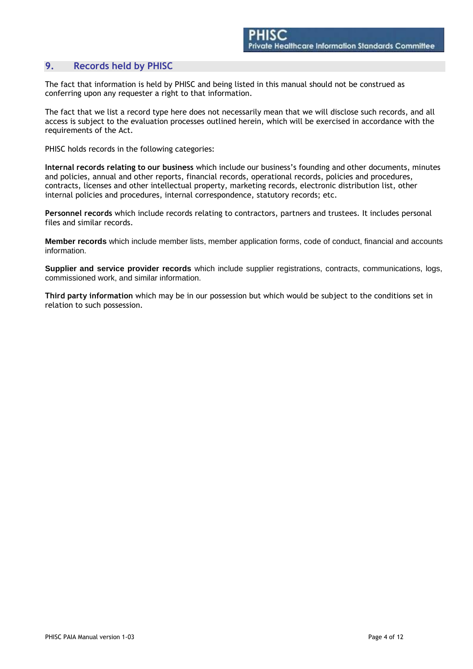## **9. Records held by PHISC**

The fact that information is held by PHISC and being listed in this manual should not be construed as conferring upon any requester a right to that information.

The fact that we list a record type here does not necessarily mean that we will disclose such records, and all access is subject to the evaluation processes outlined herein, which will be exercised in accordance with the requirements of the Act.

PHISC holds records in the following categories:

**Internal records relating to our business** which include our business's founding and other documents, minutes and policies, annual and other reports, financial records, operational records, policies and procedures, contracts, licenses and other intellectual property, marketing records, electronic distribution list, other internal policies and procedures, internal correspondence, statutory records; etc.

**Personnel records** which include records relating to contractors, partners and trustees. It includes personal files and similar records.

**Member records** which include member lists, member application forms, code of conduct, financial and accounts information.

**Supplier and service provider records** which include supplier registrations, contracts, communications, logs, commissioned work, and similar information.

**Third party information** which may be in our possession but which would be subject to the conditions set in relation to such possession.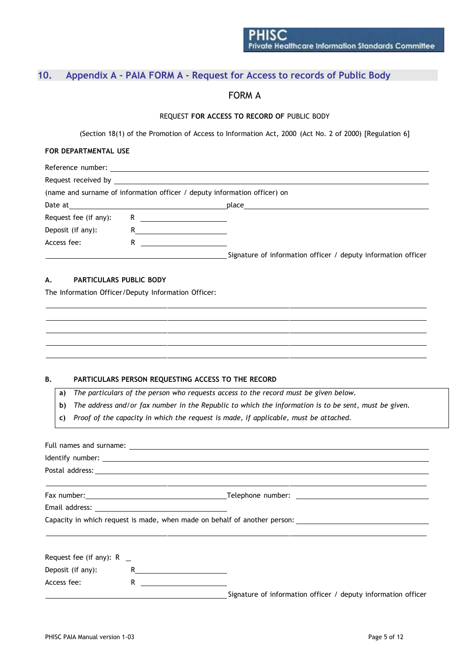# <span id="page-6-0"></span>**10. Appendix A – PAIA FORM A - Request for Access to records of Public Body**

## FORM A

#### REQUEST **FOR ACCESS TO RECORD OF** PUBLIC BODY

(Section 18(1) of the Promotion of Access to Information Act, 2000 (Act No. 2 of 2000) [Regulation 6]

#### **FOR DEPARTMENTAL USE**

|                       |                            | (name and surname of information officer / deputy information officer) on |
|-----------------------|----------------------------|---------------------------------------------------------------------------|
|                       |                            |                                                                           |
| Request fee (if any): | R $\overline{\phantom{a}}$ |                                                                           |
| Deposit (if any):     |                            |                                                                           |
| Access fee:           | R.                         |                                                                           |
|                       |                            | Signature of information officer / deputy information officer             |

#### **A. PARTICULARS PUBLIC BODY**

The Information Officer/Deputy Information Officer:

#### **B. PARTICULARS PERSON REQUESTING ACCESS TO THE RECORD**

**a)** *The particulars of the person who requests access to the record must be given below.*

b) The address and/or fax number in the Republic to which the information is to be sent, must be given.

**c)** *Proof of the capacity in which the request is made, if applicable, must be attached.*

|                             | <u> 1989 - Jan Salaman Salaman (j. 1989)</u>                                                                                                                                                                                                                                                                                         |                                                                                                      |  |  |  |  |
|-----------------------------|--------------------------------------------------------------------------------------------------------------------------------------------------------------------------------------------------------------------------------------------------------------------------------------------------------------------------------------|------------------------------------------------------------------------------------------------------|--|--|--|--|
|                             |                                                                                                                                                                                                                                                                                                                                      |                                                                                                      |  |  |  |  |
|                             |                                                                                                                                                                                                                                                                                                                                      | Capacity in which request is made, when made on behalf of another person: __________________________ |  |  |  |  |
| Request fee (if any): $R$ _ |                                                                                                                                                                                                                                                                                                                                      |                                                                                                      |  |  |  |  |
| Deposit (if any):           | $R$ and $\overline{R}$ and $\overline{R}$ and $\overline{R}$ and $\overline{R}$ and $\overline{R}$ and $\overline{R}$ and $\overline{R}$ and $\overline{R}$ and $\overline{R}$ and $\overline{R}$ and $\overline{R}$ and $\overline{R}$ and $\overline{R}$ and $\overline{R}$ and $\overline{R}$ and $\overline{R}$ and $\overline{$ |                                                                                                      |  |  |  |  |
| Access fee:                 | R $\qquad \qquad$                                                                                                                                                                                                                                                                                                                    |                                                                                                      |  |  |  |  |
|                             |                                                                                                                                                                                                                                                                                                                                      | Signature of information officer / deputy information officer                                        |  |  |  |  |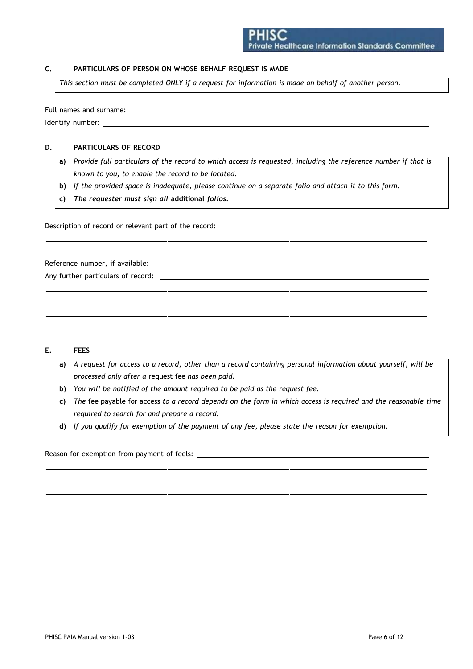### **C. PARTICULARS OF PERSON ON WHOSE BEHALF REQUEST IS MADE**

This section must be completed ONLY if a request for information is made on behalf of another person.

Full names and surname: The state of the state of the state of the state of the state of the state of the state of the state of the state of the state of the state of the state of the state of the state of the state of the Identify number:

#### **D. PARTICULARS OF RECORD**

- a) Provide full particulars of the record to which access is requested, including the reference number if that is *known to you, to enable the record to be located.*
- b) If the provided space is inadequate, please continue on a separate folio and attach it to this form.
- **c)** *The requester must sign all* **additional** *folios.*

Description of record or relevant part of the record:

Reference number, if available: Any further particulars of record:

#### **E. FEES**

- a) A request for access to a record, other than a record containing personal information about yourself, will be *processed only after a* request fee *has been paid.*
- **b)** *You will be notified of the amount required to be paid as the request fee.*
- c) The fee payable for access to a record depends on the form in which access is required and the reasonable time *required to search for and prepare a record.*
- **d)** *If you qualify for exemption of the payment of any fee, please state the reason for exemption.*

Reason for exemption from payment of feels: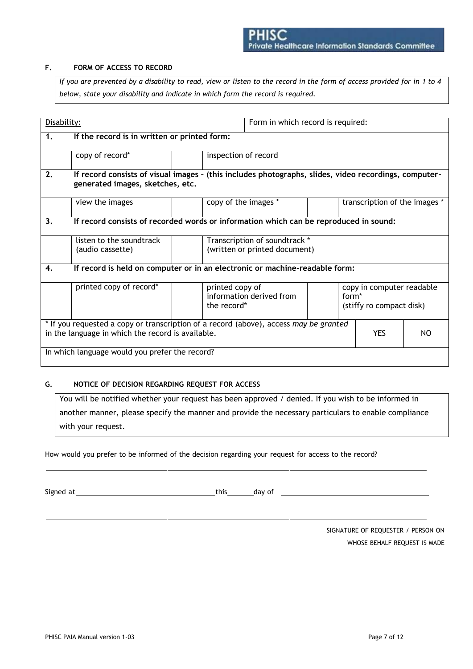### **F. FORM OF ACCESS TO RECORD**

If you are prevented by a disability to read, view or listen to the record in the form of access provided for in 1 to 4 *below, state your disability and indicate in which form the record is required.*

| Form in which record is required:<br>Disability:                                                                                                                |                                                                                                                                           |  |                                                                             |  |                                                                            |  |  |
|-----------------------------------------------------------------------------------------------------------------------------------------------------------------|-------------------------------------------------------------------------------------------------------------------------------------------|--|-----------------------------------------------------------------------------|--|----------------------------------------------------------------------------|--|--|
| 1.                                                                                                                                                              | If the record is in written or printed form:                                                                                              |  |                                                                             |  |                                                                            |  |  |
|                                                                                                                                                                 | copy of record*<br>inspection of record                                                                                                   |  |                                                                             |  |                                                                            |  |  |
| 2.                                                                                                                                                              | If record consists of visual images - (this includes photographs, slides, video recordings, computer-<br>generated images, sketches, etc. |  |                                                                             |  |                                                                            |  |  |
|                                                                                                                                                                 | copy of the images *<br>transcription of the images *<br>view the images                                                                  |  |                                                                             |  |                                                                            |  |  |
| 3.                                                                                                                                                              | If record consists of recorded words or information which can be reproduced in sound:                                                     |  |                                                                             |  |                                                                            |  |  |
|                                                                                                                                                                 | listen to the soundtrack<br>(audio cassette)                                                                                              |  | Transcription of soundtrack *<br>(written or printed document)              |  |                                                                            |  |  |
| 4.                                                                                                                                                              |                                                                                                                                           |  | If record is held on computer or in an electronic or machine-readable form: |  |                                                                            |  |  |
|                                                                                                                                                                 | printed copy of record*                                                                                                                   |  | printed copy of<br>information derived from<br>the record*                  |  | copy in computer readable<br>form <sup>*</sup><br>(stiffy ro compact disk) |  |  |
| * If you requested a copy or transcription of a record (above), access may be granted<br><b>YES</b><br>in the language in which the record is available.<br>NO. |                                                                                                                                           |  |                                                                             |  |                                                                            |  |  |
|                                                                                                                                                                 | In which language would you prefer the record?                                                                                            |  |                                                                             |  |                                                                            |  |  |

#### **G. NOTICE OF DECISION REGARDING REQUEST FOR ACCESS**

You will be notified whether your request has been approved / denied. If you wish to be informed in another manner, please specify the manner and provide the necessary particulars to enable compliance with your request.

How would you prefer to be informed of the decision regarding your request for access to the record?

Signed at this day of

SIGNATURE OF REQUESTER / PERSON ON WHOSE BEHALF REQUEST IS MADE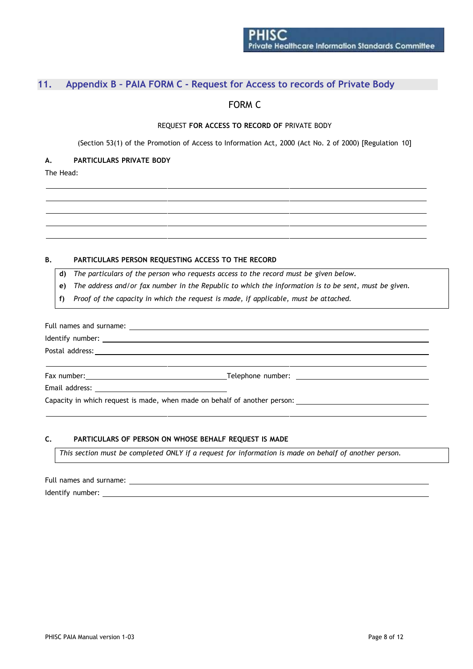## <span id="page-9-0"></span>**11. Appendix B – PAIA FORM C - Request for Access to records of Private Body**

## FORM C

#### REQUEST **FOR ACCESS TO RECORD OF** PRIVATE BODY

(Section 53(1) of the Promotion of Access to Information Act, 2000 (Act No. 2 of 2000) [Regulation 10]

#### **A. PARTICULARS PRIVATE BODY**

The Head:

#### **B. PARTICULARS PERSON REQUESTING ACCESS TO THE RECORD**

**d)** *The particulars of the person who requests access to the record must be given below.*

- e) The address and/or fax number in the Republic to which the information is to be sent, must be given.
- **f)** *Proof of the capacity in which the request is made, if applicable, must be attached.*

|  | Capacity in which request is made, when made on behalf of another person: |  |  |  |  |  |
|--|---------------------------------------------------------------------------|--|--|--|--|--|

### **C. PARTICULARS OF PERSON ON WHOSE BEHALF REQUEST IS MADE**

This section must be completed ONLY if a request for information is made on behalf of another person.

Full names and surname: Identify number: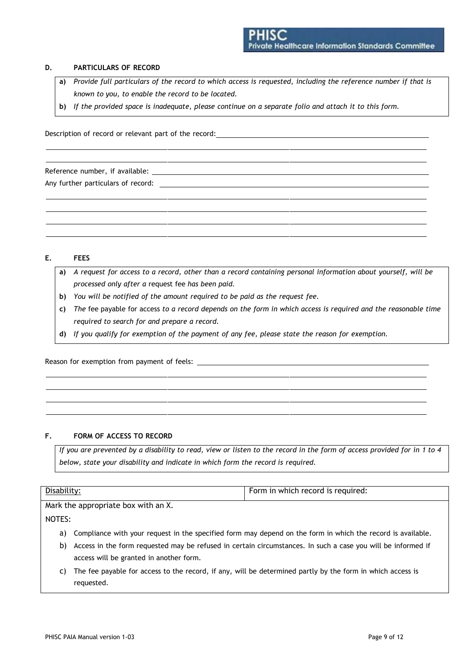#### **D. PARTICULARS OF RECORD**

- a) Provide full particulars of the record to which access is requested, including the reference number if that is *known to you, to enable the record to be located.*
- b) If the provided space is inadequate, please continue on a separate folio and attach it to this form.

Description of record or relevant part of the record:

Reference number, if available: Any further particulars of record:

#### **E. FEES**

- a) A request for access to a record, other than a record containing personal information about yourself, will be *processed only after a* request fee *has been paid.*
- **b)** *You will be notified of the amount required to be paid as the request fee.*
- c) The fee payable for access to a record depends on the form in which access is required and the reasonable time *required to search for and prepare a record.*
- **d)** *If you qualify for exemption of the payment of any fee, please state the reason for exemption.*

Reason for exemption from payment of feels:

#### **F. FORM OF ACCESS TO RECORD**

If you are prevented by a disability to read, view or listen to the record in the form of access provided for in 1 to 4 *below, state your disability and indicate in which form the record is required.*

| Disability: | Form in which record is required: |
|-------------|-----------------------------------|
|             |                                   |

Mark the appropriate box with an X.

NOTES:

- a) Compliance with your request in the specified form may depend on the form in which the record is available.
- b) Access in the form requested may be refused in certain circumstances. In such a case you will be informed if access will be granted in another form.
- c) The fee payable for access to the record, if any, will be determined partly by the form in which access is requested.